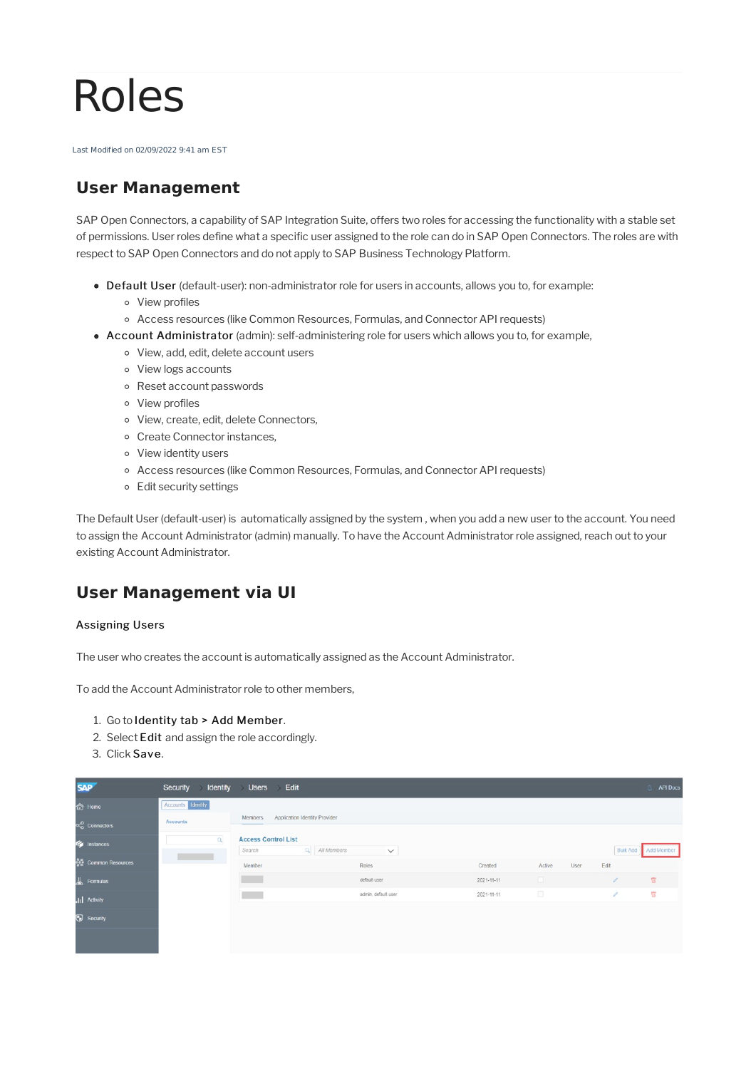# Roles

Last Modified on 02/09/2022 9:41 am EST

# **User Management**

SAP Open Connectors, a capability of SAP Integration Suite, offers two roles for accessing the functionality with a stable set of permissions. User roles define what a specific user assigned to the role can do in SAP Open Connectors. The roles are with respectto SAP Open Connectors and do not apply to SAP Business Technology Platform.

- Default User (default-user): non-administrator role for users in accounts, allows you to, for example:
	- View profiles
	- Access resources (like Common Resources, Formulas, and Connector API requests)
- Account Administrator (admin): self-administering role for users which allows you to, for example,
	- View, add, edit, delete account users
	- View logs accounts
	- Reset account passwords
	- View profiles
	- View, create, edit, delete Connectors,
	- Create Connector instances,
	- View identity users
	- Access resources (like Common Resources, Formulas, and Connector API requests)
	- Edit security settings

The Default User (default-user) is automatically assigned by the system ,when you add a new userto the account. You need to assign the Account Administrator (admin) manually. To have the Account Administrator role assigned, reach out to your existing Account Administrator.

## **User Management via UI**

#### Assigning Users

The user who creates the account is automatically assigned as the Account Administrator.

To add the Account Administrator role to other members,

- 1. Go to Identity tab > Add Member.
- 2. Select Edit and assign the role accordingly.
- 3. Click Save.

| <b>SAP</b>                         | Security Identity Users | <b>Edit</b>                                             |                     |                  |        |      |                 | <b>Q API Docs</b>       |
|------------------------------------|-------------------------|---------------------------------------------------------|---------------------|------------------|--------|------|-----------------|-------------------------|
| <b>thome</b>                       | Accounts Identity       |                                                         |                     |                  |        |      |                 |                         |
| oco Connectors                     | Accounts                | Application Identity Provider<br>Members                |                     |                  |        |      |                 |                         |
| <b>The Instances</b>               | $\alpha$                | <b>Access Control List</b><br>$Q$ All Members<br>Search | $\checkmark$        |                  |        |      | <b>Bulk Add</b> | Add Member              |
| ခိုးမွီ Common Resources           |                         | Member                                                  | Roles               | Created          | Active | User | Edit            |                         |
| $\underline{\mathcal{U}}$ Formulas |                         |                                                         | default user        | $2021 - 11 - 11$ | $\Box$ |      | -               | 官                       |
| <b>III</b> Activity                |                         |                                                         | admin, default-user | 2021-11-11       | $\Box$ |      | $\mathcal{J}$   | $\overline{\mathbb{H}}$ |
| Security                           |                         |                                                         |                     |                  |        |      |                 |                         |
|                                    |                         |                                                         |                     |                  |        |      |                 |                         |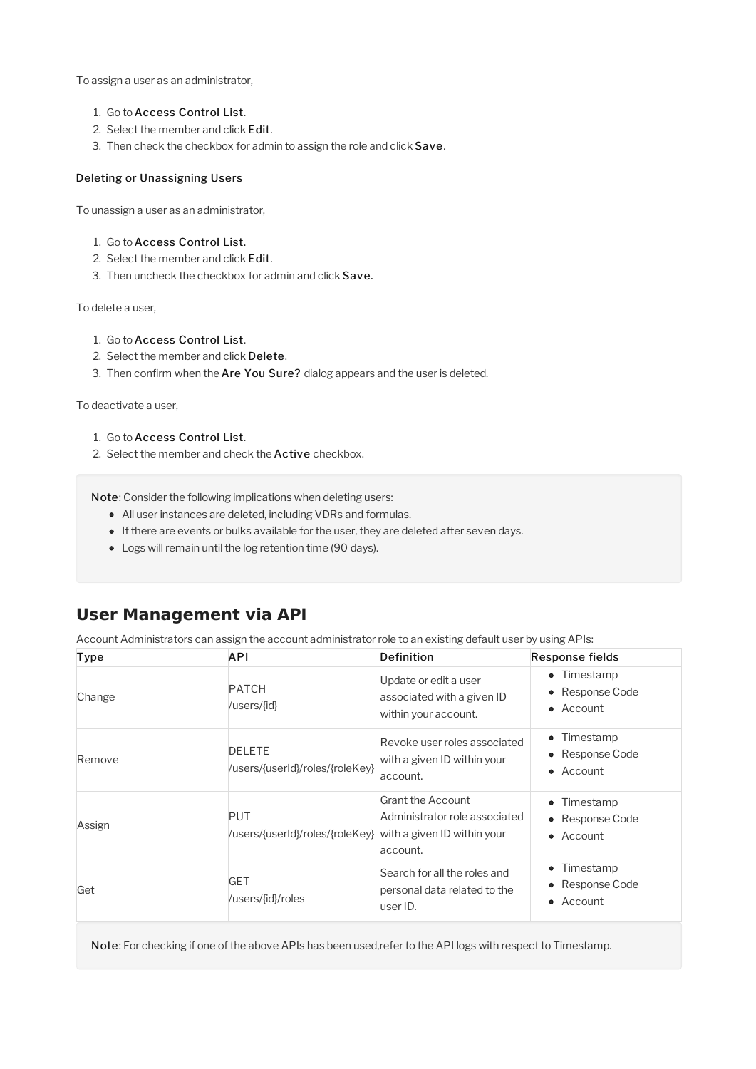To assign a user as an administrator,

- 1. Go to Access Control List.
- 2. Select the member and click Edit.
- 3. Then check the checkbox for admin to assign the role and click Save.

#### Deleting or Unassigning Users

To unassign a user as an administrator,

- 1. Go to Access Control List.
- 2. Select the member and click Edit.
- 3. Then uncheck the checkbox for admin and click Save.

To delete a user,

- 1. Go to Access Control List.
- 2. Select the member and click Delete.
- 3. Then confirm when the Are You Sure? dialog appears and the user is deleted.

To deactivate a user,

- 1. Go to Access Control List.
- 2. Select the member and check the **Active** checkbox.

Note: Consider the following implications when deleting users:

- All user instances are deleted, including VDRs and formulas.
- If there are events or bulks available for the user, they are deleted after seven days.
- Logs will remain until the log retention time (90 days).

## **User Management via API**

Account Administrators can assign the account administrator role to an existing default user by using APIs:

| Type   | <b>API</b>                                                                | Definition                                                                  | Response fields                                                |
|--------|---------------------------------------------------------------------------|-----------------------------------------------------------------------------|----------------------------------------------------------------|
| Change | <b>PATCH</b><br>/users/{id}                                               | Update or edit a user<br>associated with a given ID<br>within your account. | • Timestamp<br>Response Code<br>$\bullet$<br>• Account         |
| Remove | <b>DELETE</b><br>/users/{userId}/roles/{roleKey}                          | Revoke user roles associated<br>with a given ID within your<br>account.     | • Timestamp<br>• Response Code<br>$\bullet$ Account            |
| Assign | <b>PUT</b><br>/users/{userId}/roles/{roleKey} with a given ID within your | Grant the Account<br>Administrator role associated<br>account.              | • Timestamp<br>• Response Code<br>$\bullet$ Account            |
| Get    | <b>GET</b><br>/users/{id}/roles                                           | Search for all the roles and<br>personal data related to the<br>user ID.    | Timestamp<br>$\bullet$<br>• Response Code<br>$\bullet$ Account |

Note: For checking if one of the above APIs has been used,refer to the API logs with respect to Timestamp.